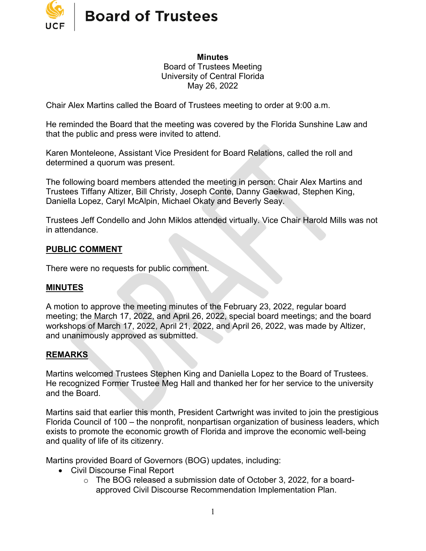

**Minutes** Board of Trustees Meeting University of Central Florida May 26, 2022

Chair Alex Martins called the Board of Trustees meeting to order at 9:00 a.m.

He reminded the Board that the meeting was covered by the Florida Sunshine Law and that the public and press were invited to attend.

Karen Monteleone, Assistant Vice President for Board Relations, called the roll and determined a quorum was present.

The following board members attended the meeting in person: Chair Alex Martins and Trustees Tiffany Altizer, Bill Christy, Joseph Conte, Danny Gaekwad, Stephen King, Daniella Lopez, Caryl McAlpin, Michael Okaty and Beverly Seay.

Trustees Jeff Condello and John Miklos attended virtually. Vice Chair Harold Mills was not in attendance.

#### **PUBLIC COMMENT**

There were no requests for public comment.

#### **MINUTES**

A motion to approve the meeting minutes of the February 23, 2022, regular board meeting; the March 17, 2022, and April 26, 2022, special board meetings; and the board workshops of March 17, 2022, April 21, 2022, and April 26, 2022, was made by Altizer, and unanimously approved as submitted.

#### **REMARKS**

Martins welcomed Trustees Stephen King and Daniella Lopez to the Board of Trustees. He recognized Former Trustee Meg Hall and thanked her for her service to the university and the Board.

Martins said that earlier this month, President Cartwright was invited to join the prestigious Florida Council of 100 – the nonprofit, nonpartisan organization of business leaders, which exists to promote the economic growth of Florida and improve the economic well-being and quality of life of its citizenry.

Martins provided Board of Governors (BOG) updates, including:

- Civil Discourse Final Report
	- o The BOG released a submission date of October 3, 2022, for a boardapproved Civil Discourse Recommendation Implementation Plan.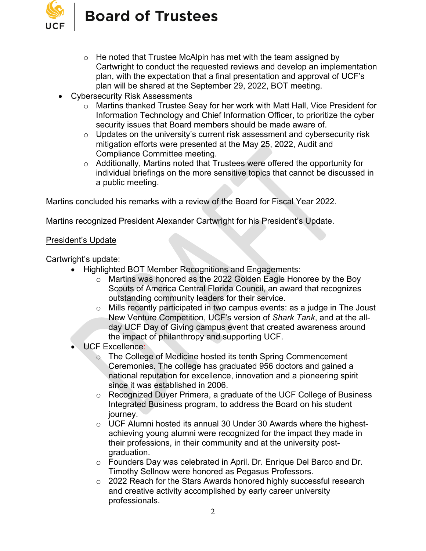

- $\circ$  He noted that Trustee McAlpin has met with the team assigned by Cartwright to conduct the requested reviews and develop an implementation plan, with the expectation that a final presentation and approval of UCF's plan will be shared at the September 29, 2022, BOT meeting.
- Cybersecurity Risk Assessments
	- o Martins thanked Trustee Seay for her work with Matt Hall, Vice President for Information Technology and Chief Information Officer, to prioritize the cyber security issues that Board members should be made aware of.
	- $\circ$  Updates on the university's current risk assessment and cybersecurity risk mitigation efforts were presented at the May 25, 2022, Audit and Compliance Committee meeting.
	- o Additionally, Martins noted that Trustees were offered the opportunity for individual briefings on the more sensitive topics that cannot be discussed in a public meeting.

Martins concluded his remarks with a review of the Board for Fiscal Year 2022.

Martins recognized President Alexander Cartwright for his President's Update.

#### President's Update

Cartwright's update:

- Highlighted BOT Member Recognitions and Engagements:
	- o Martins was honored as the 2022 Golden Eagle Honoree by the Boy Scouts of America Central Florida Council, an award that recognizes outstanding community leaders for their service.
	- o Mills recently participated in two campus events: as a judge in The Joust New Venture Competition, UCF's version of *Shark Tank*, and at the allday UCF Day of Giving campus event that created awareness around the impact of philanthropy and supporting UCF.
- UCF Excellence:
	- o The College of Medicine hosted its tenth Spring Commencement Ceremonies. The college has graduated 956 doctors and gained a national reputation for excellence, innovation and a pioneering spirit since it was established in 2006.
	- o Recognized Duyer Primera, a graduate of the UCF College of Business Integrated Business program, to address the Board on his student journey.
	- o UCF Alumni hosted its annual 30 Under 30 Awards where the highestachieving young alumni were recognized for the impact they made in their professions, in their community and at the university postgraduation.
	- o Founders Day was celebrated in April. Dr. Enrique Del Barco and Dr. Timothy Sellnow were honored as Pegasus Professors.
	- o 2022 Reach for the Stars Awards honored highly successful research and creative activity accomplished by early career university professionals.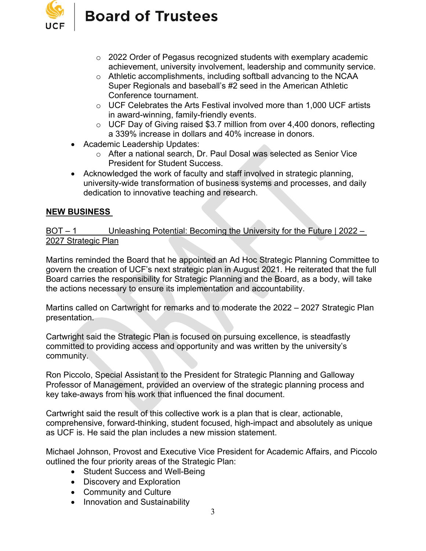

- o 2022 Order of Pegasus recognized students with exemplary academic achievement, university involvement, leadership and community service.
- o Athletic accomplishments, including softball advancing to the NCAA Super Regionals and baseball's #2 seed in the American Athletic Conference tournament.
- o UCF Celebrates the Arts Festival involved more than 1,000 UCF artists in award-winning, family-friendly events.
- o UCF Day of Giving raised \$3.7 million from over 4,400 donors, reflecting a 339% increase in dollars and 40% increase in donors.
- Academic Leadership Updates:
	- o After a national search, Dr. Paul Dosal was selected as Senior Vice President for Student Success.
- Acknowledged the work of faculty and staff involved in strategic planning, university-wide transformation of business systems and processes, and daily dedication to innovative teaching and research.

# **NEW BUSINESS**

BOT – 1 Unleashing Potential: Becoming the University for the Future | 2022 – 2027 Strategic Plan

Martins reminded the Board that he appointed an Ad Hoc Strategic Planning Committee to govern the creation of UCF's next strategic plan in August 2021. He reiterated that the full Board carries the responsibility for Strategic Planning and the Board, as a body, will take the actions necessary to ensure its implementation and accountability.

Martins called on Cartwright for remarks and to moderate the 2022 – 2027 Strategic Plan presentation.

Cartwright said the Strategic Plan is focused on pursuing excellence, is steadfastly committed to providing access and opportunity and was written by the university's community.

Ron Piccolo, Special Assistant to the President for Strategic Planning and Galloway Professor of Management, provided an overview of the strategic planning process and key take-aways from his work that influenced the final document.

Cartwright said the result of this collective work is a plan that is clear, actionable, comprehensive, forward-thinking, student focused, high-impact and absolutely as unique as UCF is. He said the plan includes a new mission statement.

Michael Johnson, Provost and Executive Vice President for Academic Affairs, and Piccolo outlined the four priority areas of the Strategic Plan:

- Student Success and Well-Being
- Discovery and Exploration
- Community and Culture
- Innovation and Sustainability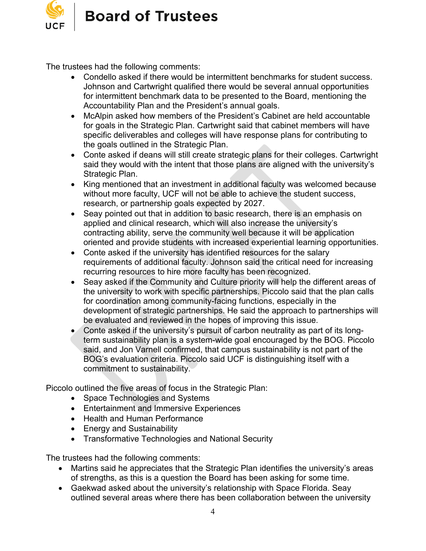

The trustees had the following comments:

- Condello asked if there would be intermittent benchmarks for student success. Johnson and Cartwright qualified there would be several annual opportunities for intermittent benchmark data to be presented to the Board, mentioning the Accountability Plan and the President's annual goals.
- McAlpin asked how members of the President's Cabinet are held accountable for goals in the Strategic Plan. Cartwright said that cabinet members will have specific deliverables and colleges will have response plans for contributing to the goals outlined in the Strategic Plan.
- Conte asked if deans will still create strategic plans for their colleges. Cartwright said they would with the intent that those plans are aligned with the university's Strategic Plan.
- King mentioned that an investment in additional faculty was welcomed because without more faculty, UCF will not be able to achieve the student success, research, or partnership goals expected by 2027.
- Seay pointed out that in addition to basic research, there is an emphasis on applied and clinical research, which will also increase the university's contracting ability, serve the community well because it will be application oriented and provide students with increased experiential learning opportunities.
- Conte asked if the university has identified resources for the salary requirements of additional faculty. Johnson said the critical need for increasing recurring resources to hire more faculty has been recognized.
- Seay asked if the Community and Culture priority will help the different areas of the university to work with specific partnerships. Piccolo said that the plan calls for coordination among community-facing functions, especially in the development of strategic partnerships. He said the approach to partnerships will be evaluated and reviewed in the hopes of improving this issue.
- Conte asked if the university's pursuit of carbon neutrality as part of its longterm sustainability plan is a system-wide goal encouraged by the BOG. Piccolo said, and Jon Varnell confirmed, that campus sustainability is not part of the BOG's evaluation criteria. Piccolo said UCF is distinguishing itself with a commitment to sustainability.

Piccolo outlined the five areas of focus in the Strategic Plan:

- Space Technologies and Systems
- Entertainment and Immersive Experiences
- Health and Human Performance
- Energy and Sustainability
- Transformative Technologies and National Security

The trustees had the following comments:

- Martins said he appreciates that the Strategic Plan identifies the university's areas of strengths, as this is a question the Board has been asking for some time.
- Gaekwad asked about the university's relationship with Space Florida. Seay outlined several areas where there has been collaboration between the university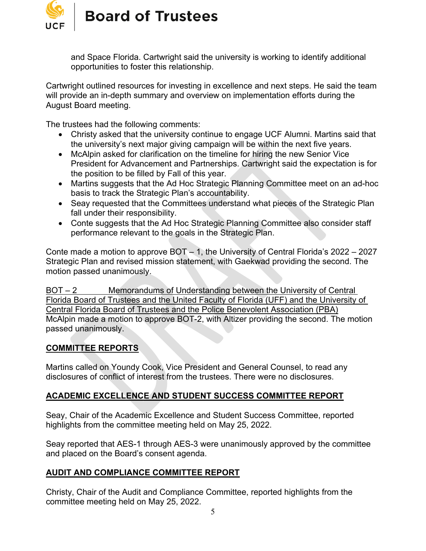

and Space Florida. Cartwright said the university is working to identify additional opportunities to foster this relationship.

Cartwright outlined resources for investing in excellence and next steps. He said the team will provide an in-depth summary and overview on implementation efforts during the August Board meeting.

The trustees had the following comments:

- Christy asked that the university continue to engage UCF Alumni. Martins said that the university's next major giving campaign will be within the next five years.
- McAlpin asked for clarification on the timeline for hiring the new Senior Vice President for Advancement and Partnerships. Cartwright said the expectation is for the position to be filled by Fall of this year.
- Martins suggests that the Ad Hoc Strategic Planning Committee meet on an ad-hoc basis to track the Strategic Plan's accountability.
- Seay requested that the Committees understand what pieces of the Strategic Plan fall under their responsibility.
- Conte suggests that the Ad Hoc Strategic Planning Committee also consider staff performance relevant to the goals in the Strategic Plan.

Conte made a motion to approve BOT – 1, the University of Central Florida's 2022 – 2027 Strategic Plan and revised mission statement, with Gaekwad providing the second. The motion passed unanimously.

BOT – 2 Memorandums of Understanding between the University of Central Florida Board of Trustees and the United Faculty of Florida (UFF) and the University of Central Florida Board of Trustees and the Police Benevolent Association (PBA) McAlpin made a motion to approve BOT-2, with Altizer providing the second. The motion passed unanimously.

## **COMMITTEE REPORTS**

Martins called on Youndy Cook, Vice President and General Counsel, to read any disclosures of conflict of interest from the trustees. There were no disclosures.

# **ACADEMIC EXCELLENCE AND STUDENT SUCCESS COMMITTEE REPORT**

Seay, Chair of the Academic Excellence and Student Success Committee, reported highlights from the committee meeting held on May 25, 2022.

Seay reported that AES-1 through AES-3 were unanimously approved by the committee and placed on the Board's consent agenda.

## **AUDIT AND COMPLIANCE COMMITTEE REPORT**

Christy, Chair of the Audit and Compliance Committee, reported highlights from the committee meeting held on May 25, 2022.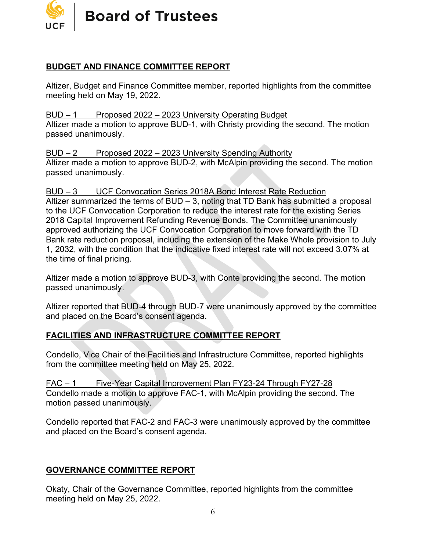

# **BUDGET AND FINANCE COMMITTEE REPORT**

Altizer, Budget and Finance Committee member, reported highlights from the committee meeting held on May 19, 2022.

#### BUD – 1 Proposed 2022 – 2023 University Operating Budget

Altizer made a motion to approve BUD-1, with Christy providing the second. The motion passed unanimously.

BUD – 2 Proposed 2022 – 2023 University Spending Authority Altizer made a motion to approve BUD-2, with McAlpin providing the second. The motion passed unanimously.

#### BUD – 3 UCF Convocation Series 2018A Bond Interest Rate Reduction

Altizer summarized the terms of BUD – 3, noting that TD Bank has submitted a proposal to the UCF Convocation Corporation to reduce the interest rate for the existing Series 2018 Capital Improvement Refunding Revenue Bonds. The Committee unanimously approved authorizing the UCF Convocation Corporation to move forward with the TD Bank rate reduction proposal, including the extension of the Make Whole provision to July 1, 2032, with the condition that the indicative fixed interest rate will not exceed 3.07% at the time of final pricing.

Altizer made a motion to approve BUD-3, with Conte providing the second. The motion passed unanimously.

Altizer reported that BUD-4 through BUD-7 were unanimously approved by the committee and placed on the Board's consent agenda.

# **FACILITIES AND INFRASTRUCTURE COMMITTEE REPORT**

Condello, Vice Chair of the Facilities and Infrastructure Committee, reported highlights from the committee meeting held on May 25, 2022.

FAC – 1 Five-Year Capital Improvement Plan FY23-24 Through FY27-28 Condello made a motion to approve FAC-1, with McAlpin providing the second. The motion passed unanimously.

Condello reported that FAC-2 and FAC-3 were unanimously approved by the committee and placed on the Board's consent agenda.

## **GOVERNANCE COMMITTEE REPORT**

Okaty, Chair of the Governance Committee, reported highlights from the committee meeting held on May 25, 2022.